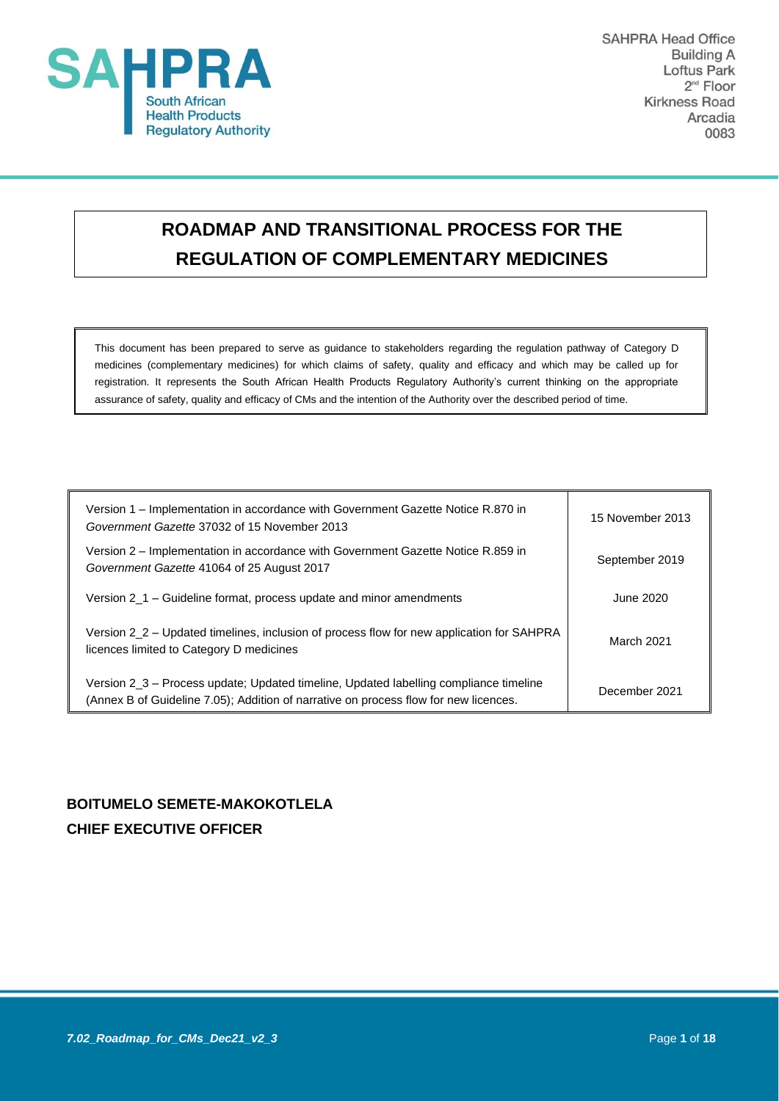

**SAHPRA Head Office Building A** Loftus Park  $2<sup>nd</sup>$  Floor **Kirkness Road** Arcadia 0083

# **ROADMAP AND TRANSITIONAL PROCESS FOR THE REGULATION OF COMPLEMENTARY MEDICINES**

This document has been prepared to serve as guidance to stakeholders regarding the regulation pathway of Category D medicines (complementary medicines) for which claims of safety, quality and efficacy and which may be called up for registration. It represents the South African Health Products Regulatory Authority's current thinking on the appropriate assurance of safety, quality and efficacy of CMs and the intention of the Authority over the described period of time.

| Version 1 – Implementation in accordance with Government Gazette Notice R.870 in<br>Government Gazette 37032 of 15 November 2013                                              | 15 November 2013 |
|-------------------------------------------------------------------------------------------------------------------------------------------------------------------------------|------------------|
| Version 2 – Implementation in accordance with Government Gazette Notice R.859 in<br>Government Gazette 41064 of 25 August 2017                                                | September 2019   |
| Version 2_1 – Guideline format, process update and minor amendments                                                                                                           | June 2020.       |
| Version 2_2 – Updated timelines, inclusion of process flow for new application for SAHPRA<br>licences limited to Category D medicines                                         | March 2021       |
| Version 2_3 – Process update; Updated timeline, Updated labelling compliance timeline<br>(Annex B of Guideline 7.05); Addition of narrative on process flow for new licences. | December 2021    |

## **BOITUMELO SEMETE-MAKOKOTLELA CHIEF EXECUTIVE OFFICER**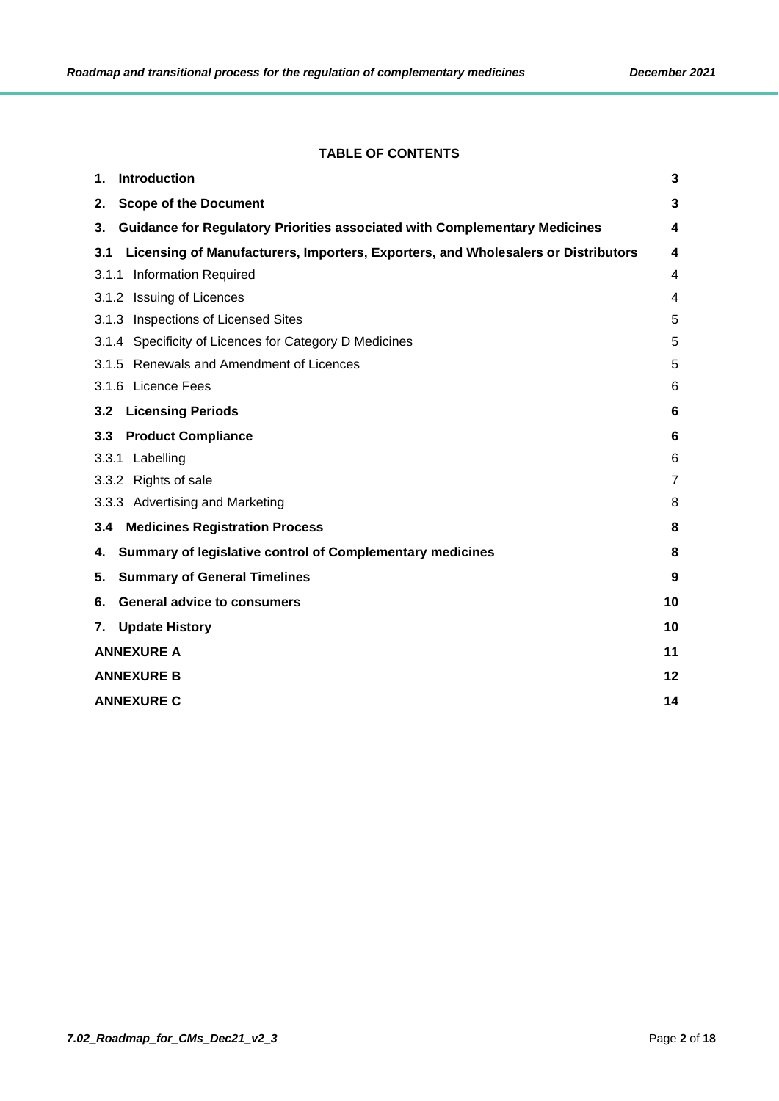## **TABLE OF CONTENTS**

| Introduction<br>1.                                                                       | 3              |  |
|------------------------------------------------------------------------------------------|----------------|--|
| <b>Scope of the Document</b><br>2.                                                       | 3              |  |
| <b>Guidance for Regulatory Priorities associated with Complementary Medicines</b><br>3.  | 4              |  |
| Licensing of Manufacturers, Importers, Exporters, and Wholesalers or Distributors<br>3.1 | 4              |  |
| 3.1.1 Information Required                                                               | 4              |  |
| 3.1.2 Issuing of Licences                                                                | 4              |  |
| 3.1.3 Inspections of Licensed Sites                                                      | 5              |  |
| 3.1.4 Specificity of Licences for Category D Medicines                                   | 5              |  |
| 3.1.5 Renewals and Amendment of Licences                                                 | 5              |  |
| 3.1.6 Licence Fees                                                                       | 6              |  |
| 3.2<br><b>Licensing Periods</b>                                                          | 6              |  |
| <b>Product Compliance</b><br>3.3                                                         | 6              |  |
| 3.3.1 Labelling                                                                          | 6              |  |
| 3.3.2 Rights of sale                                                                     | $\overline{7}$ |  |
| 3.3.3 Advertising and Marketing                                                          | 8              |  |
| <b>Medicines Registration Process</b><br>3.4                                             | 8              |  |
| Summary of legislative control of Complementary medicines<br>4.                          | 8              |  |
| <b>Summary of General Timelines</b><br>5.                                                | 9              |  |
| <b>General advice to consumers</b><br>6.                                                 | 10             |  |
| <b>Update History</b><br>7.                                                              | 10             |  |
| <b>ANNEXURE A</b><br>11                                                                  |                |  |
| <b>ANNEXURE B</b><br>12                                                                  |                |  |
| <b>ANNEXURE C</b><br>14                                                                  |                |  |
|                                                                                          |                |  |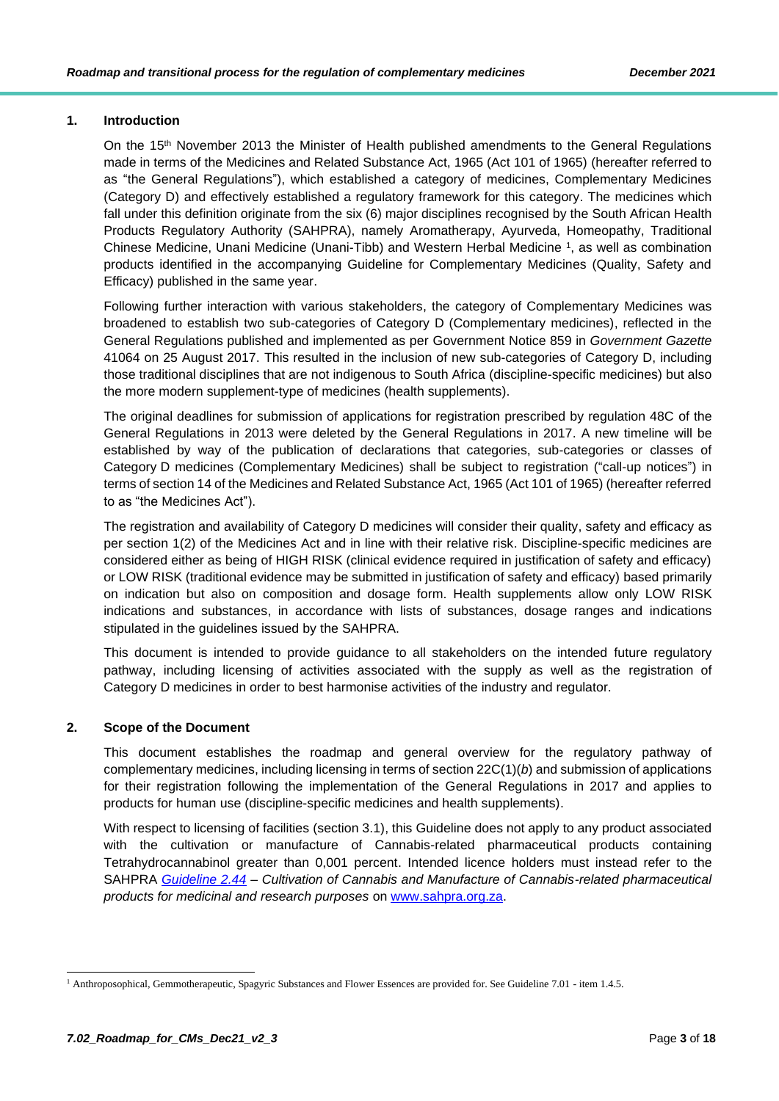## <span id="page-2-0"></span>**1. Introduction**

On the 15<sup>th</sup> November 2013 the Minister of Health published amendments to the General Regulations made in terms of the Medicines and Related Substance Act, 1965 (Act 101 of 1965) (hereafter referred to as "the General Regulations"), which established a category of medicines, Complementary Medicines (Category D) and effectively established a regulatory framework for this category. The medicines which fall under this definition originate from the six (6) major disciplines recognised by the South African Health Products Regulatory Authority (SAHPRA), namely Aromatherapy, Ayurveda, Homeopathy, Traditional Chinese Medicine, Unani Medicine (Unani-Tibb) and Western Herbal Medicine <sup>1</sup> , as well as combination products identified in the accompanying Guideline for Complementary Medicines (Quality, Safety and Efficacy) published in the same year.

Following further interaction with various stakeholders, the category of Complementary Medicines was broadened to establish two sub-categories of Category D (Complementary medicines), reflected in the General Regulations published and implemented as per Government Notice 859 in *Government Gazette* 41064 on 25 August 2017. This resulted in the inclusion of new sub-categories of Category D, including those traditional disciplines that are not indigenous to South Africa (discipline-specific medicines) but also the more modern supplement-type of medicines (health supplements).

The original deadlines for submission of applications for registration prescribed by regulation 48C of the General Regulations in 2013 were deleted by the General Regulations in 2017. A new timeline will be established by way of the publication of declarations that categories, sub-categories or classes of Category D medicines (Complementary Medicines) shall be subject to registration ("call-up notices") in terms of section 14 of the Medicines and Related Substance Act, 1965 (Act 101 of 1965) (hereafter referred to as "the Medicines Act").

The registration and availability of Category D medicines will consider their quality, safety and efficacy as per section 1(2) of the Medicines Act and in line with their relative risk. Discipline-specific medicines are considered either as being of HIGH RISK (clinical evidence required in justification of safety and efficacy) or LOW RISK (traditional evidence may be submitted in justification of safety and efficacy) based primarily on indication but also on composition and dosage form. Health supplements allow only LOW RISK indications and substances, in accordance with lists of substances, dosage ranges and indications stipulated in the guidelines issued by the SAHPRA.

This document is intended to provide guidance to all stakeholders on the intended future regulatory pathway, including licensing of activities associated with the supply as well as the registration of Category D medicines in order to best harmonise activities of the industry and regulator.

## <span id="page-2-1"></span>**2. Scope of the Document**

This document establishes the roadmap and general overview for the regulatory pathway of complementary medicines, including licensing in terms of section 22C(1)(*b*) and submission of applications for their registration following the implementation of the General Regulations in 2017 and applies to products for human use (discipline-specific medicines and health supplements).

With respect to licensing of facilities (section 3.1), this Guideline does not apply to any product associated with the cultivation or manufacture of Cannabis-related pharmaceutical products containing Tetrahydrocannabinol greater than 0,001 percent. Intended licence holders must instead refer to the SAHPRA *[Guideline 2.44](http://www.sahpra.org.za/wp-content/uploads/2020/01/93b0b4262.44_Cannabiscultivation_v2_Nov2019.pdf) – Cultivation of Cannabis and Manufacture of Cannabis-related pharmaceutical products for medicinal and research purposes* on [www.sahpra.org.za.](http://www.sahpra.org.za/)

<sup>&</sup>lt;sup>1</sup> Anthroposophical, Gemmotherapeutic, Spagyric Substances and Flower Essences are provided for. See Guideline 7.01 - item 1.4.5.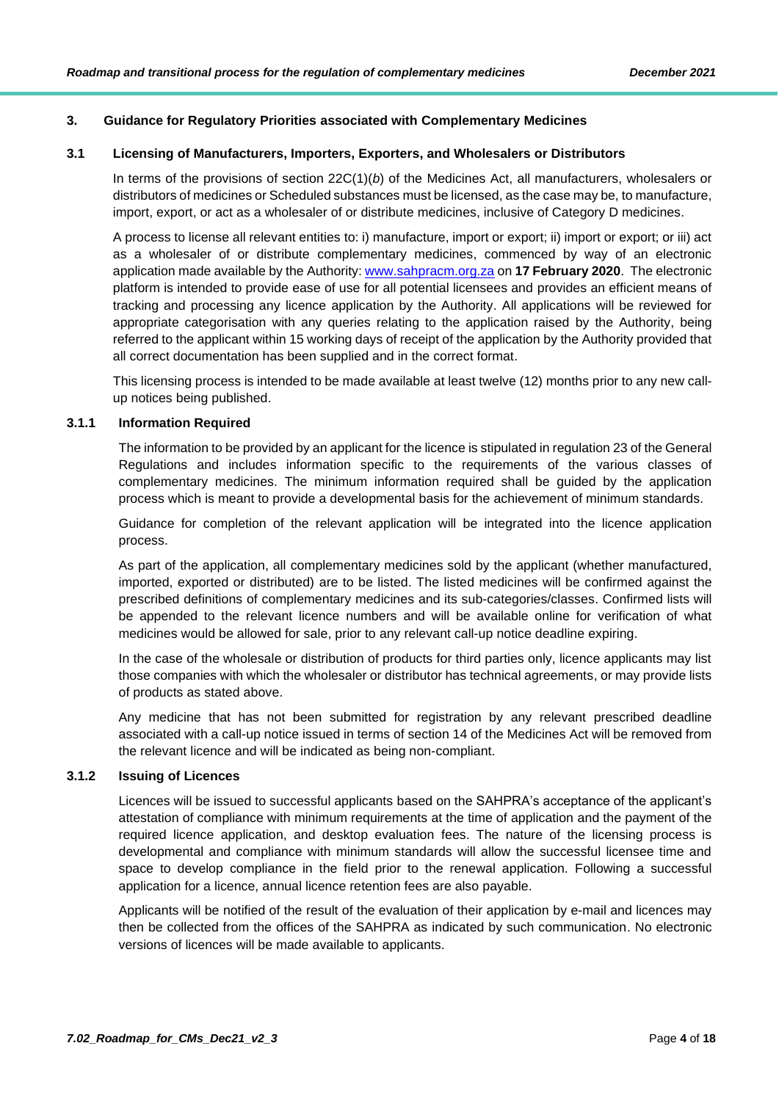## <span id="page-3-0"></span>**3. Guidance for Regulatory Priorities associated with Complementary Medicines**

#### <span id="page-3-1"></span>**3.1 Licensing of Manufacturers, Importers, Exporters, and Wholesalers or Distributors**

In terms of the provisions of section 22C(1)(*b*) of the Medicines Act, all manufacturers, wholesalers or distributors of medicines or Scheduled substances must be licensed, as the case may be, to manufacture, import, export, or act as a wholesaler of or distribute medicines, inclusive of Category D medicines.

A process to license all relevant entities to: i) manufacture, import or export; ii) import or export; or iii) act as a wholesaler of or distribute complementary medicines, commenced by way of an electronic application made available by the Authority: [www.sahpracm.org.za](http://www.sahpracm.org.za/) on **17 February 2020**. The electronic platform is intended to provide ease of use for all potential licensees and provides an efficient means of tracking and processing any licence application by the Authority. All applications will be reviewed for appropriate categorisation with any queries relating to the application raised by the Authority, being referred to the applicant within 15 working days of receipt of the application by the Authority provided that all correct documentation has been supplied and in the correct format.

This licensing process is intended to be made available at least twelve (12) months prior to any new callup notices being published.

## <span id="page-3-2"></span>**3.1.1 Information Required**

The information to be provided by an applicant for the licence is stipulated in regulation 23 of the General Regulations and includes information specific to the requirements of the various classes of complementary medicines. The minimum information required shall be guided by the application process which is meant to provide a developmental basis for the achievement of minimum standards.

Guidance for completion of the relevant application will be integrated into the licence application process.

As part of the application, all complementary medicines sold by the applicant (whether manufactured, imported, exported or distributed) are to be listed. The listed medicines will be confirmed against the prescribed definitions of complementary medicines and its sub-categories/classes. Confirmed lists will be appended to the relevant licence numbers and will be available online for verification of what medicines would be allowed for sale, prior to any relevant call-up notice deadline expiring.

In the case of the wholesale or distribution of products for third parties only, licence applicants may list those companies with which the wholesaler or distributor has technical agreements, or may provide lists of products as stated above.

Any medicine that has not been submitted for registration by any relevant prescribed deadline associated with a call-up notice issued in terms of section 14 of the Medicines Act will be removed from the relevant licence and will be indicated as being non-compliant.

## <span id="page-3-3"></span>**3.1.2 Issuing of Licences**

Licences will be issued to successful applicants based on the SAHPRA's acceptance of the applicant's attestation of compliance with minimum requirements at the time of application and the payment of the required licence application, and desktop evaluation fees. The nature of the licensing process is developmental and compliance with minimum standards will allow the successful licensee time and space to develop compliance in the field prior to the renewal application. Following a successful application for a licence, annual licence retention fees are also payable.

Applicants will be notified of the result of the evaluation of their application by e-mail and licences may then be collected from the offices of the SAHPRA as indicated by such communication. No electronic versions of licences will be made available to applicants.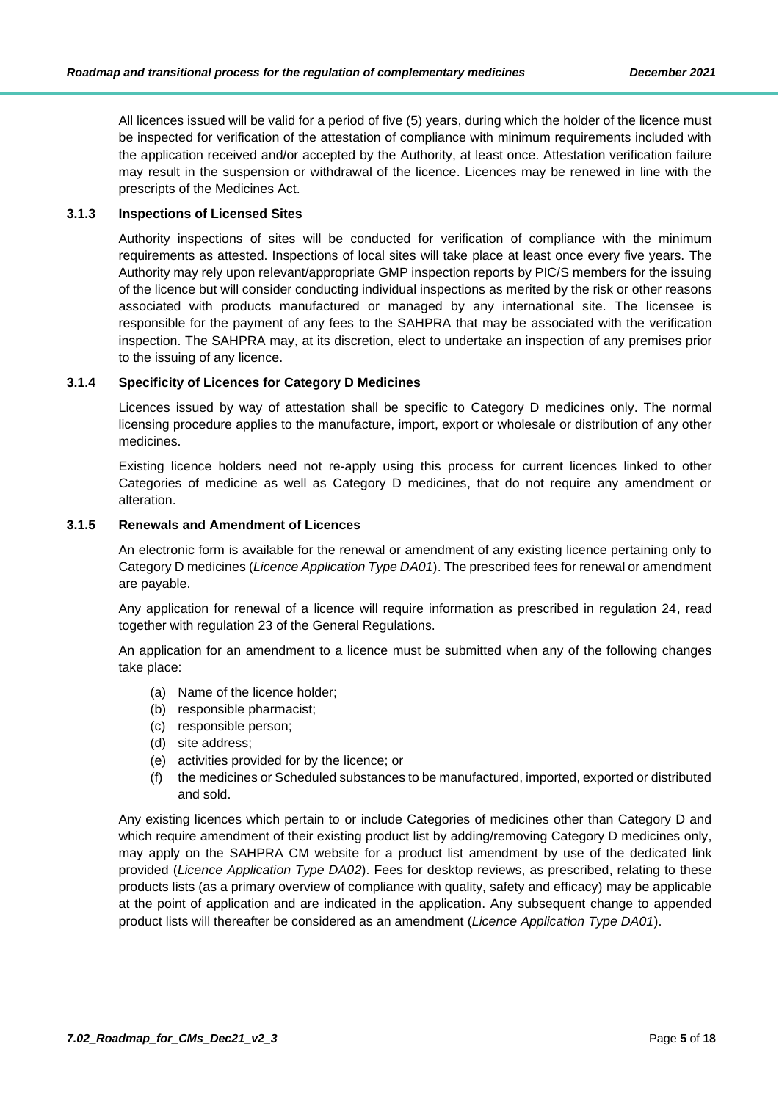All licences issued will be valid for a period of five (5) years, during which the holder of the licence must be inspected for verification of the attestation of compliance with minimum requirements included with the application received and/or accepted by the Authority, at least once. Attestation verification failure may result in the suspension or withdrawal of the licence. Licences may be renewed in line with the prescripts of the Medicines Act.

## <span id="page-4-0"></span>**3.1.3 Inspections of Licensed Sites**

Authority inspections of sites will be conducted for verification of compliance with the minimum requirements as attested. Inspections of local sites will take place at least once every five years. The Authority may rely upon relevant/appropriate GMP inspection reports by PIC/S members for the issuing of the licence but will consider conducting individual inspections as merited by the risk or other reasons associated with products manufactured or managed by any international site. The licensee is responsible for the payment of any fees to the SAHPRA that may be associated with the verification inspection. The SAHPRA may, at its discretion, elect to undertake an inspection of any premises prior to the issuing of any licence.

## <span id="page-4-1"></span>**3.1.4 Specificity of Licences for Category D Medicines**

Licences issued by way of attestation shall be specific to Category D medicines only. The normal licensing procedure applies to the manufacture, import, export or wholesale or distribution of any other medicines.

Existing licence holders need not re-apply using this process for current licences linked to other Categories of medicine as well as Category D medicines, that do not require any amendment or alteration.

#### <span id="page-4-2"></span>**3.1.5 Renewals and Amendment of Licences**

An electronic form is available for the renewal or amendment of any existing licence pertaining only to Category D medicines (*Licence Application Type DA01*). The prescribed fees for renewal or amendment are payable.

Any application for renewal of a licence will require information as prescribed in regulation 24, read together with regulation 23 of the General Regulations.

An application for an amendment to a licence must be submitted when any of the following changes take place:

- (a) Name of the licence holder;
- (b) responsible pharmacist;
- (c) responsible person;
- (d) site address;
- (e) activities provided for by the licence; or
- (f) the medicines or Scheduled substances to be manufactured, imported, exported or distributed and sold.

Any existing licences which pertain to or include Categories of medicines other than Category D and which require amendment of their existing product list by adding/removing Category D medicines only, may apply on the SAHPRA CM website for a product list amendment by use of the dedicated link provided (*Licence Application Type DA02*). Fees for desktop reviews, as prescribed, relating to these products lists (as a primary overview of compliance with quality, safety and efficacy) may be applicable at the point of application and are indicated in the application. Any subsequent change to appended product lists will thereafter be considered as an amendment (*Licence Application Type DA01*).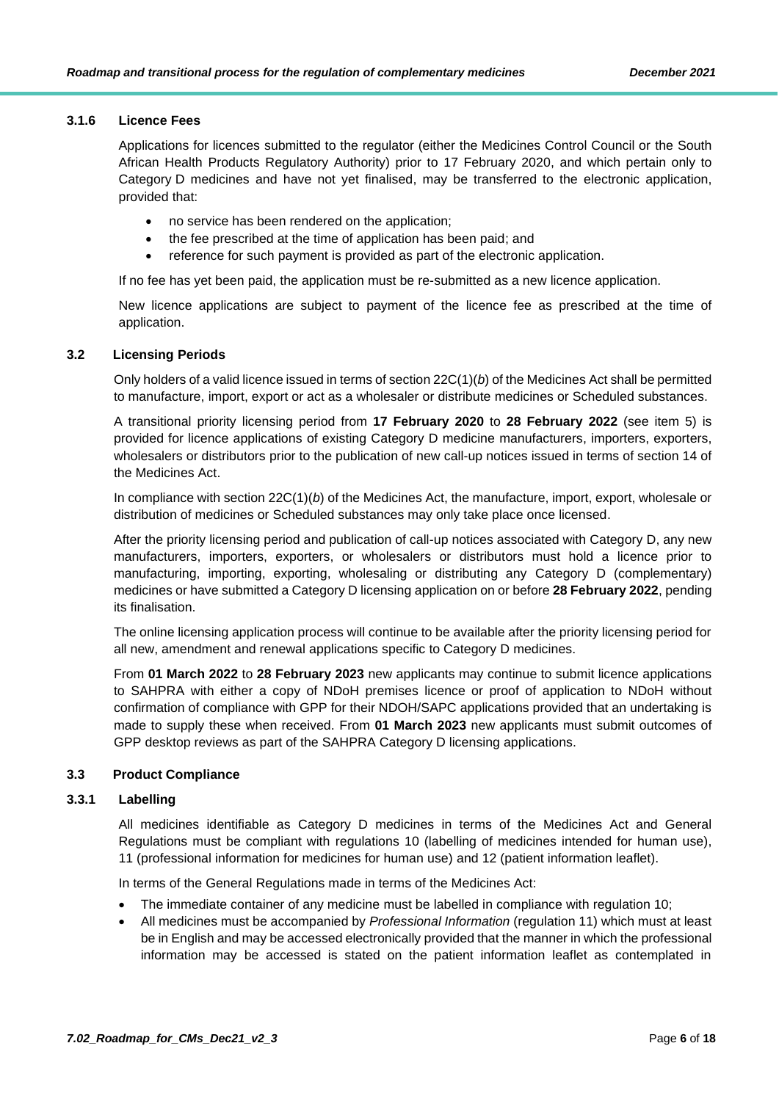#### <span id="page-5-0"></span>**3.1.6 Licence Fees**

Applications for licences submitted to the regulator (either the Medicines Control Council or the South African Health Products Regulatory Authority) prior to 17 February 2020, and which pertain only to Category D medicines and have not yet finalised, may be transferred to the electronic application, provided that:

- no service has been rendered on the application;
- the fee prescribed at the time of application has been paid; and
- reference for such payment is provided as part of the electronic application.

If no fee has yet been paid, the application must be re-submitted as a new licence application.

New licence applications are subject to payment of the licence fee as prescribed at the time of application.

## <span id="page-5-1"></span>**3.2 Licensing Periods**

Only holders of a valid licence issued in terms of section 22C(1)(*b*) of the Medicines Act shall be permitted to manufacture, import, export or act as a wholesaler or distribute medicines or Scheduled substances.

A transitional priority licensing period from **17 February 2020** to **28 February 2022** (see item 5) is provided for licence applications of existing Category D medicine manufacturers, importers, exporters, wholesalers or distributors prior to the publication of new call-up notices issued in terms of section 14 of the Medicines Act.

In compliance with section 22C(1)(*b*) of the Medicines Act, the manufacture, import, export, wholesale or distribution of medicines or Scheduled substances may only take place once licensed.

After the priority licensing period and publication of call-up notices associated with Category D, any new manufacturers, importers, exporters, or wholesalers or distributors must hold a licence prior to manufacturing, importing, exporting, wholesaling or distributing any Category D (complementary) medicines or have submitted a Category D licensing application on or before **28 February 2022**, pending its finalisation.

The online licensing application process will continue to be available after the priority licensing period for all new, amendment and renewal applications specific to Category D medicines.

From **01 March 2022** to **28 February 2023** new applicants may continue to submit licence applications to SAHPRA with either a copy of NDoH premises licence or proof of application to NDoH without confirmation of compliance with GPP for their NDOH/SAPC applications provided that an undertaking is made to supply these when received. From **01 March 2023** new applicants must submit outcomes of GPP desktop reviews as part of the SAHPRA Category D licensing applications.

#### <span id="page-5-2"></span>**3.3 Product Compliance**

#### <span id="page-5-3"></span>**3.3.1 Labelling**

All medicines identifiable as Category D medicines in terms of the Medicines Act and General Regulations must be compliant with regulations 10 (labelling of medicines intended for human use), 11 (professional information for medicines for human use) and 12 (patient information leaflet).

In terms of the General Regulations made in terms of the Medicines Act:

- The immediate container of any medicine must be labelled in compliance with regulation 10;
- All medicines must be accompanied by *Professional Information* (regulation 11) which must at least be in English and may be accessed electronically provided that the manner in which the professional information may be accessed is stated on the patient information leaflet as contemplated in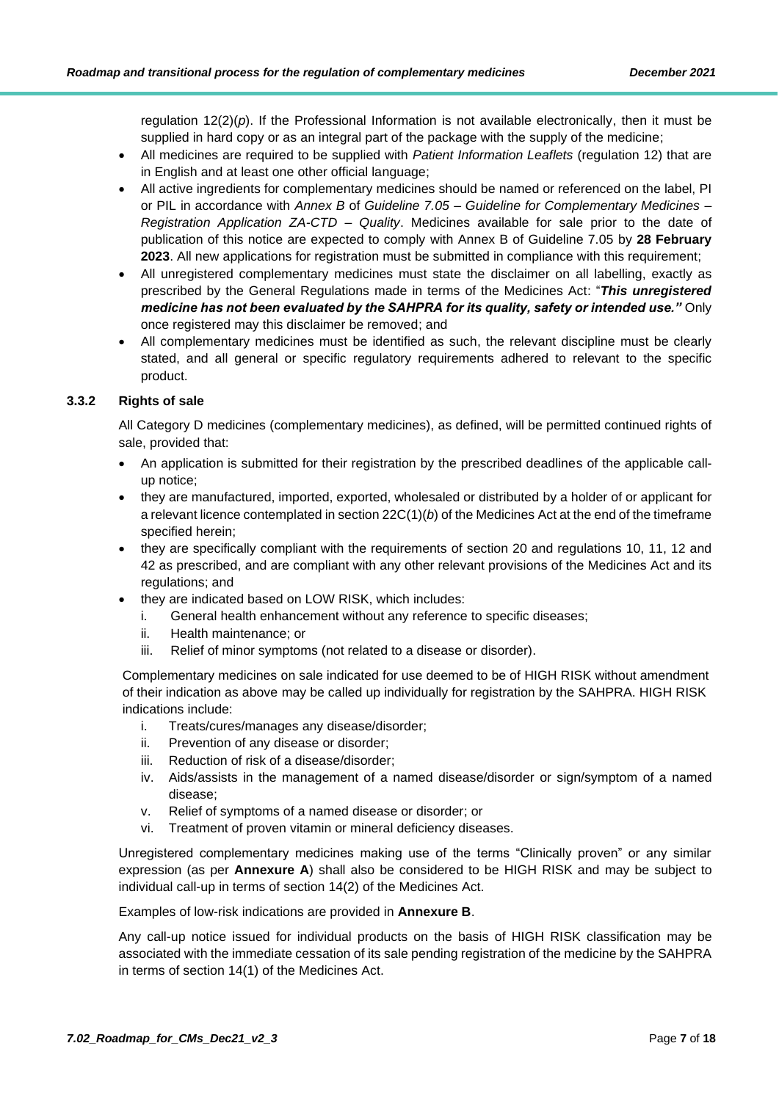regulation  $12(2)(p)$ . If the Professional Information is not available electronically, then it must be supplied in hard copy or as an integral part of the package with the supply of the medicine;

- All medicines are required to be supplied with *Patient Information Leaflets* (regulation 12) that are in English and at least one other official language;
- All active ingredients for complementary medicines should be named or referenced on the label, PI or PIL in accordance with *Annex B* of *Guideline 7.05 – Guideline for Complementary Medicines – Registration Application ZA-CTD – Quality*. Medicines available for sale prior to the date of publication of this notice are expected to comply with Annex B of Guideline 7.05 by **28 February 2023**. All new applications for registration must be submitted in compliance with this requirement;
- All unregistered complementary medicines must state the disclaimer on all labelling, exactly as prescribed by the General Regulations made in terms of the Medicines Act: "*This unregistered medicine has not been evaluated by the SAHPRA for its quality, safety or intended use."* Only once registered may this disclaimer be removed; and
- All complementary medicines must be identified as such, the relevant discipline must be clearly stated, and all general or specific regulatory requirements adhered to relevant to the specific product.

## <span id="page-6-0"></span>**3.3.2 Rights of sale**

All Category D medicines (complementary medicines), as defined, will be permitted continued rights of sale, provided that:

- An application is submitted for their registration by the prescribed deadlines of the applicable callup notice;
- they are manufactured, imported, exported, wholesaled or distributed by a holder of or applicant for a relevant licence contemplated in section 22C(1)(*b*) of the Medicines Act at the end of the timeframe specified herein;
- they are specifically compliant with the requirements of section 20 and regulations 10, 11, 12 and 42 as prescribed, and are compliant with any other relevant provisions of the Medicines Act and its regulations; and
- they are indicated based on LOW RISK, which includes:
	- i. General health enhancement without any reference to specific diseases;
	- ii. Health maintenance; or
	- iii. Relief of minor symptoms (not related to a disease or disorder).

Complementary medicines on sale indicated for use deemed to be of HIGH RISK without amendment of their indication as above may be called up individually for registration by the SAHPRA. HIGH RISK indications include:

- i. Treats/cures/manages any disease/disorder;
- ii. Prevention of any disease or disorder;
- iii. Reduction of risk of a disease/disorder;
- iv. Aids/assists in the management of a named disease/disorder or sign/symptom of a named disease;
- v. Relief of symptoms of a named disease or disorder; or
- vi. Treatment of proven vitamin or mineral deficiency diseases.

Unregistered complementary medicines making use of the terms "Clinically proven" or any similar expression (as per **Annexure A**) shall also be considered to be HIGH RISK and may be subject to individual call-up in terms of section 14(2) of the Medicines Act.

Examples of low-risk indications are provided in **Annexure B**.

<span id="page-6-1"></span>Any call-up notice issued for individual products on the basis of HIGH RISK classification may be associated with the immediate cessation of its sale pending registration of the medicine by the SAHPRA in terms of section 14(1) of the Medicines Act.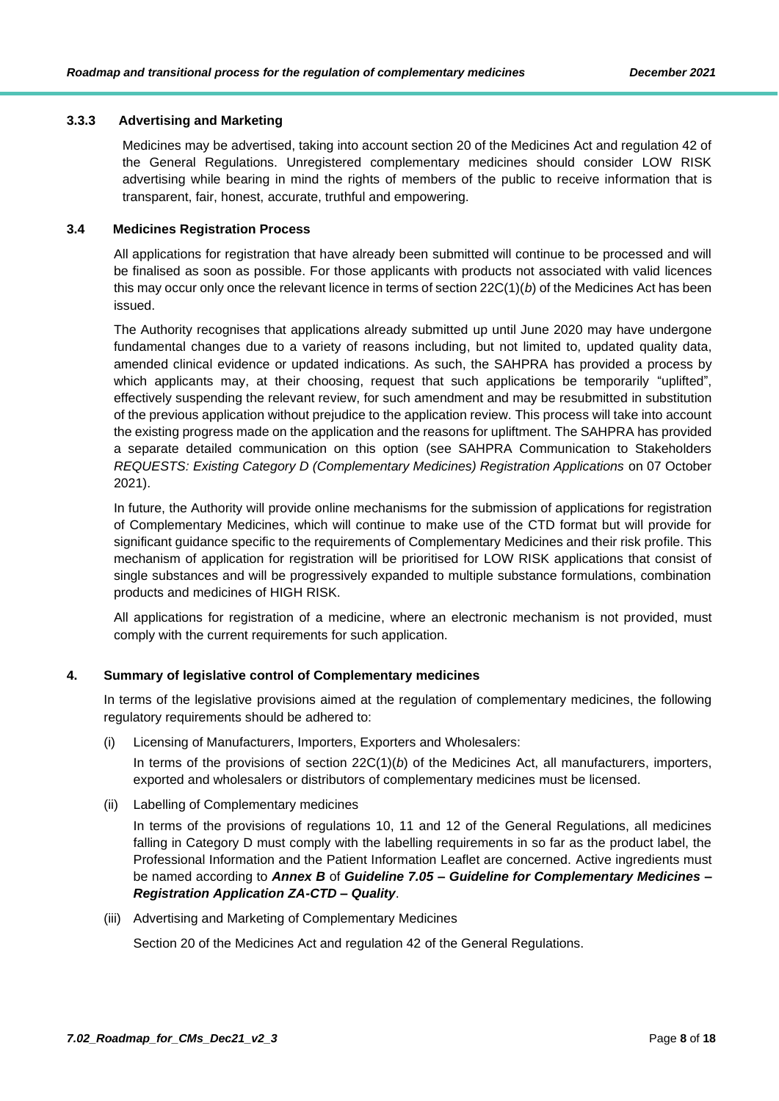## **3.3.3 Advertising and Marketing**

Medicines may be advertised, taking into account section 20 of the Medicines Act and regulation 42 of the General Regulations. Unregistered complementary medicines should consider LOW RISK advertising while bearing in mind the rights of members of the public to receive information that is transparent, fair, honest, accurate, truthful and empowering.

#### <span id="page-7-0"></span>**3.4 Medicines Registration Process**

All applications for registration that have already been submitted will continue to be processed and will be finalised as soon as possible. For those applicants with products not associated with valid licences this may occur only once the relevant licence in terms of section 22C(1)(*b*) of the Medicines Act has been issued.

The Authority recognises that applications already submitted up until June 2020 may have undergone fundamental changes due to a variety of reasons including, but not limited to, updated quality data, amended clinical evidence or updated indications. As such, the SAHPRA has provided a process by which applicants may, at their choosing, request that such applications be temporarily "uplifted", effectively suspending the relevant review, for such amendment and may be resubmitted in substitution of the previous application without prejudice to the application review. This process will take into account the existing progress made on the application and the reasons for upliftment. The SAHPRA has provided a separate detailed communication on this option (see SAHPRA Communication to Stakeholders *REQUESTS: Existing Category D (Complementary Medicines) Registration Applications* on 07 October 2021).

In future, the Authority will provide online mechanisms for the submission of applications for registration of Complementary Medicines, which will continue to make use of the CTD format but will provide for significant guidance specific to the requirements of Complementary Medicines and their risk profile. This mechanism of application for registration will be prioritised for LOW RISK applications that consist of single substances and will be progressively expanded to multiple substance formulations, combination products and medicines of HIGH RISK.

All applications for registration of a medicine, where an electronic mechanism is not provided, must comply with the current requirements for such application.

#### <span id="page-7-1"></span>**4. Summary of legislative control of Complementary medicines**

In terms of the legislative provisions aimed at the regulation of complementary medicines, the following regulatory requirements should be adhered to:

(i) Licensing of Manufacturers, Importers, Exporters and Wholesalers:

In terms of the provisions of section 22C(1)(*b*) of the Medicines Act, all manufacturers, importers, exported and wholesalers or distributors of complementary medicines must be licensed.

(ii) Labelling of Complementary medicines

In terms of the provisions of regulations 10, 11 and 12 of the General Regulations, all medicines falling in Category D must comply with the labelling requirements in so far as the product label, the Professional Information and the Patient Information Leaflet are concerned. Active ingredients must be named according to *Annex B* of *Guideline 7.05 – Guideline for Complementary Medicines – Registration Application ZA-CTD – Quality*.

(iii) Advertising and Marketing of Complementary Medicines

Section 20 of the Medicines Act and regulation 42 of the General Regulations.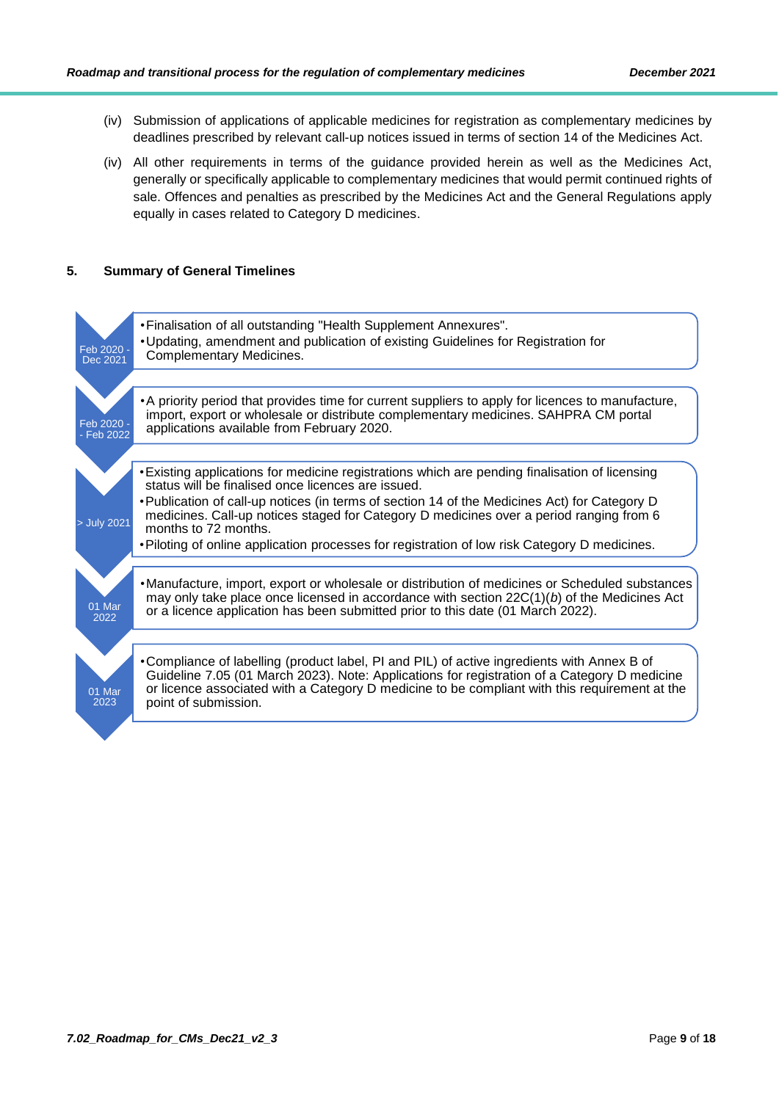- (iv) Submission of applications of applicable medicines for registration as complementary medicines by deadlines prescribed by relevant call-up notices issued in terms of section 14 of the Medicines Act.
- (iv) All other requirements in terms of the guidance provided herein as well as the Medicines Act, generally or specifically applicable to complementary medicines that would permit continued rights of sale. Offences and penalties as prescribed by the Medicines Act and the General Regulations apply equally in cases related to Category D medicines.

## <span id="page-8-0"></span>**5. Summary of General Timelines**

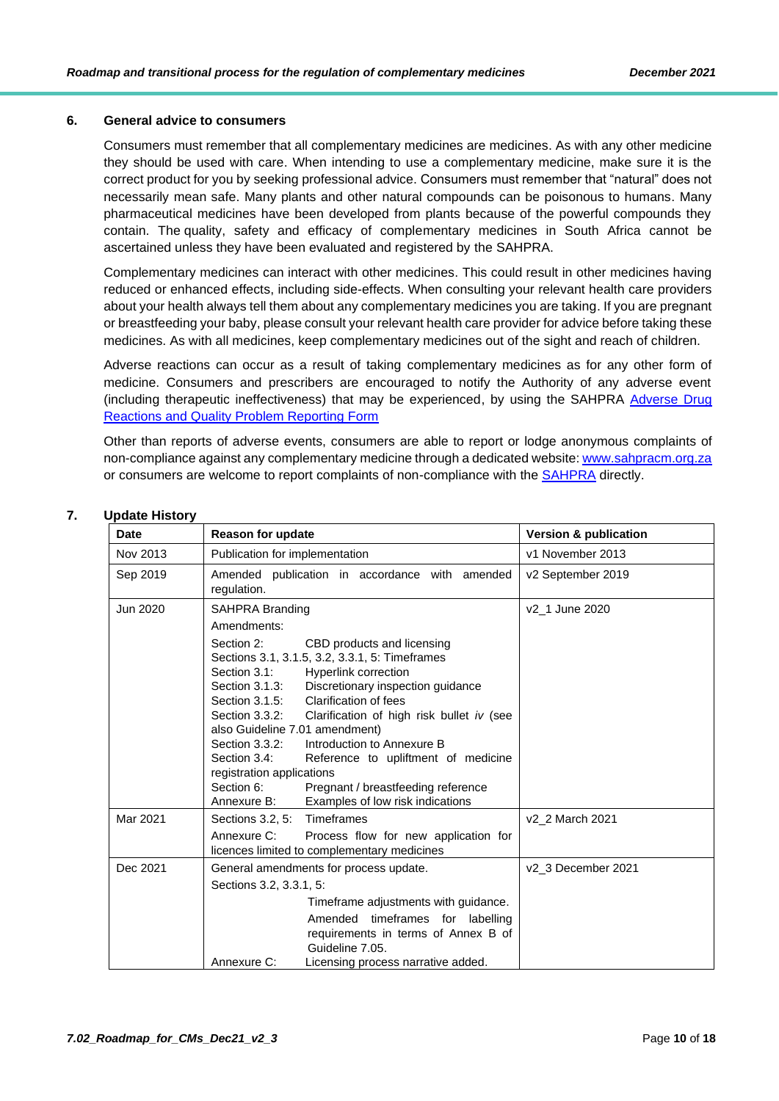## <span id="page-9-0"></span>**6. General advice to consumers**

Consumers must remember that all complementary medicines are medicines. As with any other medicine they should be used with care. When intending to use a complementary medicine, make sure it is the correct product for you by seeking professional advice. Consumers must remember that "natural" does not necessarily mean safe. Many plants and other natural compounds can be poisonous to humans. Many pharmaceutical medicines have been developed from plants because of the powerful compounds they contain. The quality, safety and efficacy of complementary medicines in South Africa cannot be ascertained unless they have been evaluated and registered by the SAHPRA.

Complementary medicines can interact with other medicines. This could result in other medicines having reduced or enhanced effects, including side-effects. When consulting your relevant health care providers about your health always tell them about any complementary medicines you are taking. If you are pregnant or breastfeeding your baby, please consult your relevant health care provider for advice before taking these medicines. As with all medicines, keep complementary medicines out of the sight and reach of children.

Adverse reactions can occur as a result of taking complementary medicines as for any other form of medicine. Consumers and prescribers are encouraged to notify the Authority of any adverse event (including therapeutic ineffectiveness) that may be experienced, by using the SAHPRA [Adverse Drug](https://sahpra.org.za/Publications/DownloadDoc/7683)  [Reactions and Quality Problem Reporting Form](https://sahpra.org.za/Publications/DownloadDoc/7683)

Other than reports of adverse events, consumers are able to report or lodge anonymous complaints of non-compliance against any complementary medicine through a dedicated website[: www.sahpracm.org.za](http://www.sahpracm.org.za/) or consumers are welcome to report complaints of non-compliance with the [SAHPRA](https://www.sahpra.org.za/Contact) directly.

| <b>Date</b> | <b>Reason for update</b>                                                                                                                                                                                                                                                                                                                                                                                                                                                                                                                                                                | <b>Version &amp; publication</b> |
|-------------|-----------------------------------------------------------------------------------------------------------------------------------------------------------------------------------------------------------------------------------------------------------------------------------------------------------------------------------------------------------------------------------------------------------------------------------------------------------------------------------------------------------------------------------------------------------------------------------------|----------------------------------|
| Nov 2013    | Publication for implementation                                                                                                                                                                                                                                                                                                                                                                                                                                                                                                                                                          | v1 November 2013                 |
| Sep 2019    | Amended publication in accordance with amended<br>regulation.                                                                                                                                                                                                                                                                                                                                                                                                                                                                                                                           | v2 September 2019                |
| Jun 2020    | <b>SAHPRA Branding</b>                                                                                                                                                                                                                                                                                                                                                                                                                                                                                                                                                                  | v2_1 June 2020                   |
|             | Amendments:                                                                                                                                                                                                                                                                                                                                                                                                                                                                                                                                                                             |                                  |
|             | Section 2:<br>CBD products and licensing<br>Sections 3.1, 3.1.5, 3.2, 3.3.1, 5: Timeframes<br>Section 3.1:<br><b>Hyperlink correction</b><br>Discretionary inspection guidance<br>Section 3.1.3:<br>Section 3.1.5:<br>Clarification of fees<br>Section 3.3.2:<br>Clarification of high risk bullet iv (see<br>also Guideline 7.01 amendment)<br>Introduction to Annexure B<br>Section 3.3.2:<br>Section 3.4:<br>Reference to upliftment of medicine<br>registration applications<br>Section 6:<br>Pregnant / breastfeeding reference<br>Examples of low risk indications<br>Annexure B: |                                  |
| Mar 2021    | Sections 3.2, 5: Timeframes                                                                                                                                                                                                                                                                                                                                                                                                                                                                                                                                                             | v2_2 March 2021                  |
|             | Annexure C:<br>Process flow for new application for<br>licences limited to complementary medicines                                                                                                                                                                                                                                                                                                                                                                                                                                                                                      |                                  |
| Dec 2021    | General amendments for process update.                                                                                                                                                                                                                                                                                                                                                                                                                                                                                                                                                  | v2_3 December 2021               |
|             | Sections 3.2, 3.3.1, 5:                                                                                                                                                                                                                                                                                                                                                                                                                                                                                                                                                                 |                                  |
|             | Timeframe adjustments with guidance.                                                                                                                                                                                                                                                                                                                                                                                                                                                                                                                                                    |                                  |
|             | Amended timeframes for labelling<br>requirements in terms of Annex B of<br>Guideline 7.05.                                                                                                                                                                                                                                                                                                                                                                                                                                                                                              |                                  |
|             | Licensing process narrative added.<br>Annexure C:                                                                                                                                                                                                                                                                                                                                                                                                                                                                                                                                       |                                  |

#### <span id="page-9-1"></span>**7. Update History**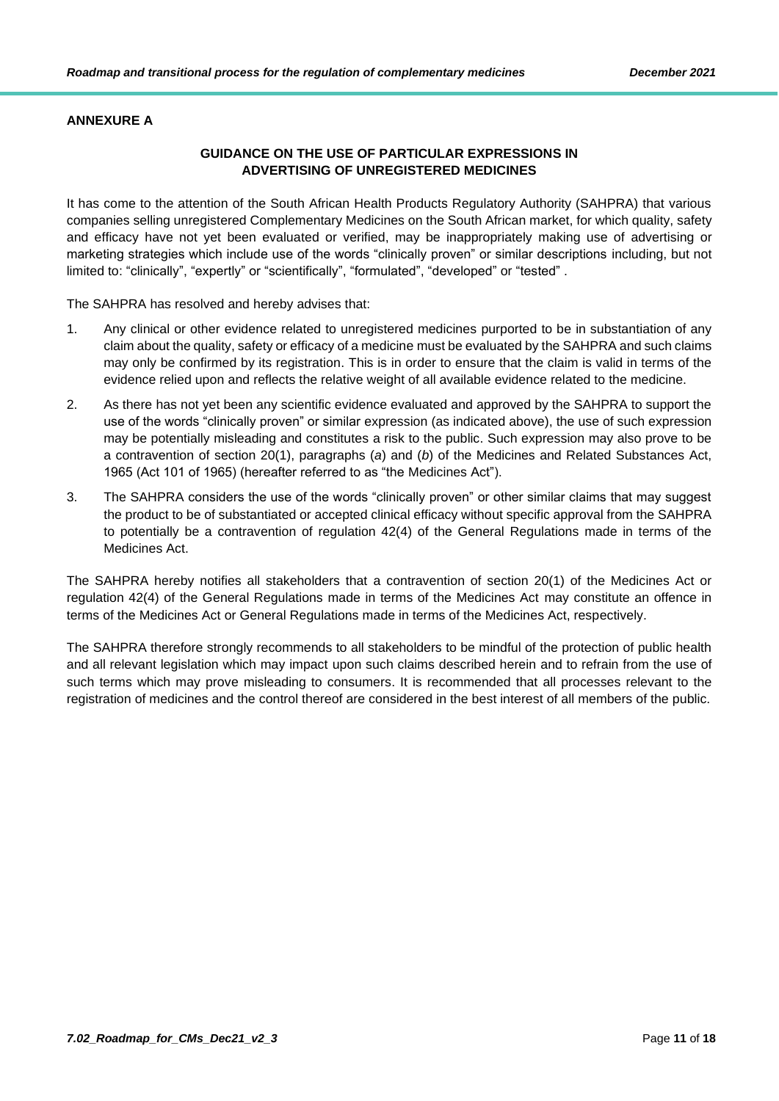## <span id="page-10-0"></span>**ANNEXURE A**

## **GUIDANCE ON THE USE OF PARTICULAR EXPRESSIONS IN ADVERTISING OF UNREGISTERED MEDICINES**

It has come to the attention of the South African Health Products Regulatory Authority (SAHPRA) that various companies selling unregistered Complementary Medicines on the South African market, for which quality, safety and efficacy have not yet been evaluated or verified, may be inappropriately making use of advertising or marketing strategies which include use of the words "clinically proven" or similar descriptions including, but not limited to: "clinically", "expertly" or "scientifically", "formulated", "developed" or "tested" .

The SAHPRA has resolved and hereby advises that:

- 1. Any clinical or other evidence related to unregistered medicines purported to be in substantiation of any claim about the quality, safety or efficacy of a medicine must be evaluated by the SAHPRA and such claims may only be confirmed by its registration. This is in order to ensure that the claim is valid in terms of the evidence relied upon and reflects the relative weight of all available evidence related to the medicine.
- 2. As there has not yet been any scientific evidence evaluated and approved by the SAHPRA to support the use of the words "clinically proven" or similar expression (as indicated above), the use of such expression may be potentially misleading and constitutes a risk to the public. Such expression may also prove to be a contravention of section 20(1), paragraphs (*a*) and (*b*) of the Medicines and Related Substances Act, 1965 (Act 101 of 1965) (hereafter referred to as "the Medicines Act").
- 3. The SAHPRA considers the use of the words "clinically proven" or other similar claims that may suggest the product to be of substantiated or accepted clinical efficacy without specific approval from the SAHPRA to potentially be a contravention of regulation 42(4) of the General Regulations made in terms of the Medicines Act.

The SAHPRA hereby notifies all stakeholders that a contravention of section 20(1) of the Medicines Act or regulation 42(4) of the General Regulations made in terms of the Medicines Act may constitute an offence in terms of the Medicines Act or General Regulations made in terms of the Medicines Act, respectively.

The SAHPRA therefore strongly recommends to all stakeholders to be mindful of the protection of public health and all relevant legislation which may impact upon such claims described herein and to refrain from the use of such terms which may prove misleading to consumers. It is recommended that all processes relevant to the registration of medicines and the control thereof are considered in the best interest of all members of the public.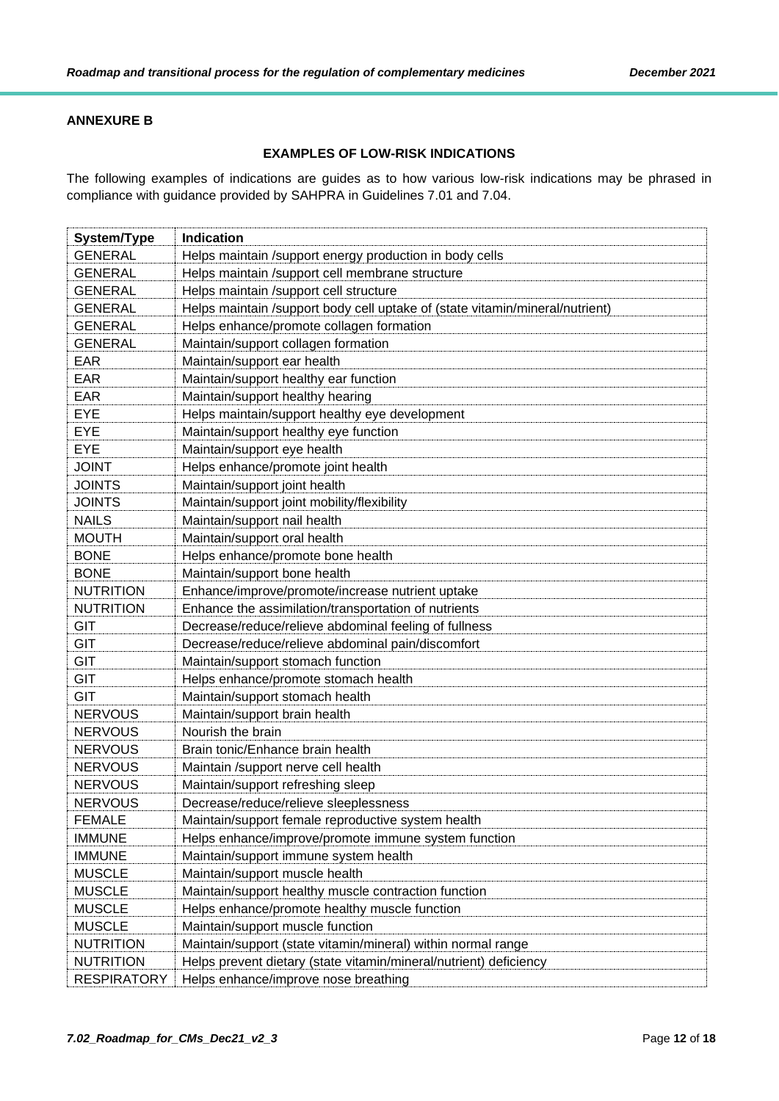## <span id="page-11-0"></span>**ANNEXURE B**

## **EXAMPLES OF LOW-RISK INDICATIONS**

The following examples of indications are guides as to how various low-risk indications may be phrased in compliance with guidance provided by SAHPRA in Guidelines 7.01 and 7.04.

| <b>System/Type</b> | <b>Indication</b>                                                            |
|--------------------|------------------------------------------------------------------------------|
| <b>GENERAL</b>     | Helps maintain /support energy production in body cells                      |
| <b>GENERAL</b>     | Helps maintain /support cell membrane structure                              |
| <b>GENERAL</b>     | Helps maintain /support cell structure                                       |
| <b>GENERAL</b>     | Helps maintain /support body cell uptake of (state vitamin/mineral/nutrient) |
| <b>GENERAL</b>     | Helps enhance/promote collagen formation                                     |
| <b>GENERAL</b>     | Maintain/support collagen formation                                          |
| <b>EAR</b>         | Maintain/support ear health                                                  |
| EAR                | Maintain/support healthy ear function                                        |
| EAR                | Maintain/support healthy hearing                                             |
| <b>EYE</b>         | Helps maintain/support healthy eye development                               |
| <b>EYE</b>         | Maintain/support healthy eye function                                        |
| <b>EYE</b>         | Maintain/support eye health                                                  |
| <b>JOINT</b>       | Helps enhance/promote joint health                                           |
| <b>JOINTS</b>      | Maintain/support joint health                                                |
| <b>JOINTS</b>      | Maintain/support joint mobility/flexibility                                  |
| <b>NAILS</b>       | Maintain/support nail health                                                 |
| <b>MOUTH</b>       | Maintain/support oral health                                                 |
| <b>BONE</b>        | Helps enhance/promote bone health                                            |
| <b>BONE</b>        | Maintain/support bone health                                                 |
| <b>NUTRITION</b>   | Enhance/improve/promote/increase nutrient uptake                             |
| <b>NUTRITION</b>   | Enhance the assimilation/transportation of nutrients                         |
| <b>GIT</b>         | Decrease/reduce/relieve abdominal feeling of fullness                        |
| <b>GIT</b>         | Decrease/reduce/relieve abdominal pain/discomfort                            |
| <b>GIT</b>         | Maintain/support stomach function                                            |
| <b>GIT</b>         | Helps enhance/promote stomach health                                         |
| <b>GIT</b>         | Maintain/support stomach health                                              |
| <b>NERVOUS</b>     | Maintain/support brain health                                                |
| <b>NERVOUS</b>     | Nourish the brain                                                            |
| <b>NERVOUS</b>     | Brain tonic/Enhance brain health                                             |
| <b>NERVOUS</b>     | Maintain /support nerve cell health                                          |
| <b>NERVOUS</b>     | Maintain/support refreshing sleep                                            |
| <b>NERVOUS</b>     | Decrease/reduce/relieve sleeplessness                                        |
| <b>FEMALE</b>      | Maintain/support female reproductive system health                           |
| <b>IMMUNE</b>      | Helps enhance/improve/promote immune system function                         |
| <b>IMMUNE</b>      | Maintain/support immune system health                                        |
| <b>MUSCLE</b>      | Maintain/support muscle health                                               |
| <b>MUSCLE</b>      | Maintain/support healthy muscle contraction function                         |
| <b>MUSCLE</b>      | Helps enhance/promote healthy muscle function                                |
| <b>MUSCLE</b>      | Maintain/support muscle function                                             |
| <b>NUTRITION</b>   | Maintain/support (state vitamin/mineral) within normal range                 |
| <b>NUTRITION</b>   | Helps prevent dietary (state vitamin/mineral/nutrient) deficiency            |
| <b>RESPIRATORY</b> | Helps enhance/improve nose breathing                                         |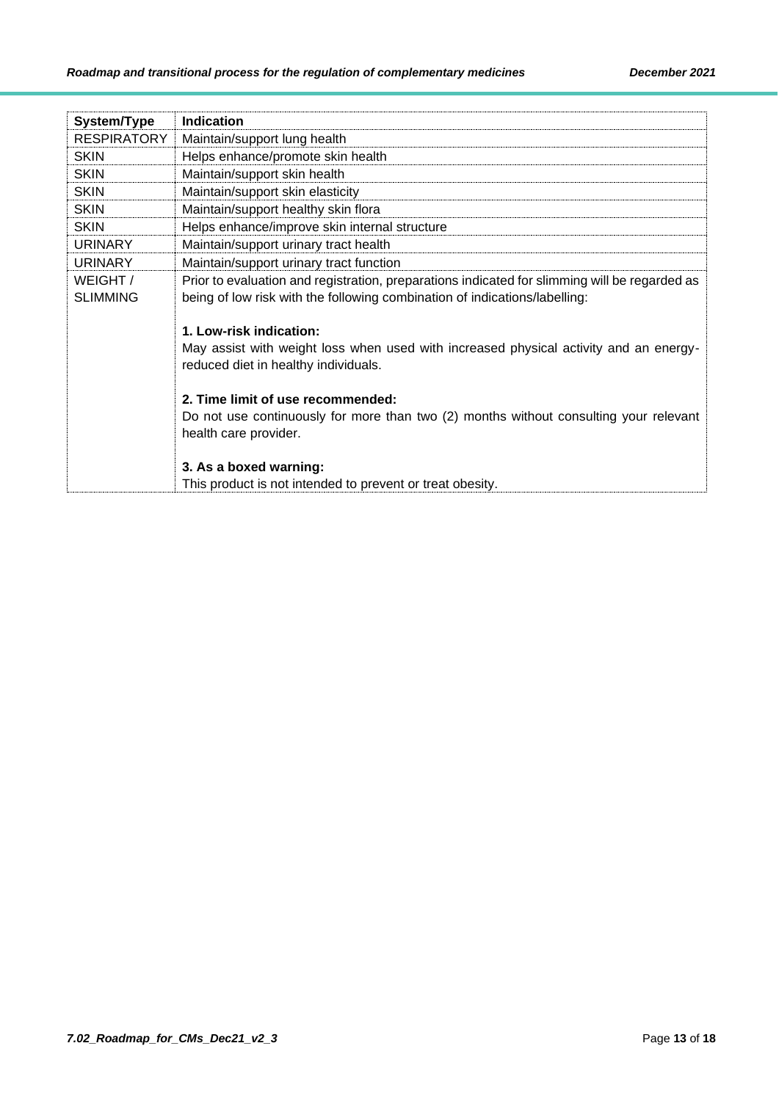| System/Type        | <b>Indication</b>                                                                             |
|--------------------|-----------------------------------------------------------------------------------------------|
| <b>RESPIRATORY</b> | Maintain/support lung health                                                                  |
| <b>SKIN</b>        | Helps enhance/promote skin health                                                             |
| <b>SKIN</b>        | Maintain/support skin health                                                                  |
| <b>SKIN</b>        | Maintain/support skin elasticity                                                              |
| <b>SKIN</b>        | Maintain/support healthy skin flora                                                           |
| <b>SKIN</b>        | Helps enhance/improve skin internal structure                                                 |
| <b>URINARY</b>     | Maintain/support urinary tract health                                                         |
| <b>URINARY</b>     | Maintain/support urinary tract function                                                       |
| WEIGHT/            | Prior to evaluation and registration, preparations indicated for slimming will be regarded as |
| <b>SLIMMING</b>    | being of low risk with the following combination of indications/labelling:                    |
|                    |                                                                                               |
|                    | 1. Low-risk indication:                                                                       |
|                    | May assist with weight loss when used with increased physical activity and an energy-         |
|                    | reduced diet in healthy individuals.                                                          |
|                    |                                                                                               |
|                    | 2. Time limit of use recommended:                                                             |
|                    | Do not use continuously for more than two (2) months without consulting your relevant         |
|                    | health care provider.                                                                         |
|                    |                                                                                               |
|                    | 3. As a boxed warning:                                                                        |
|                    | This product is not intended to prevent or treat obesity.                                     |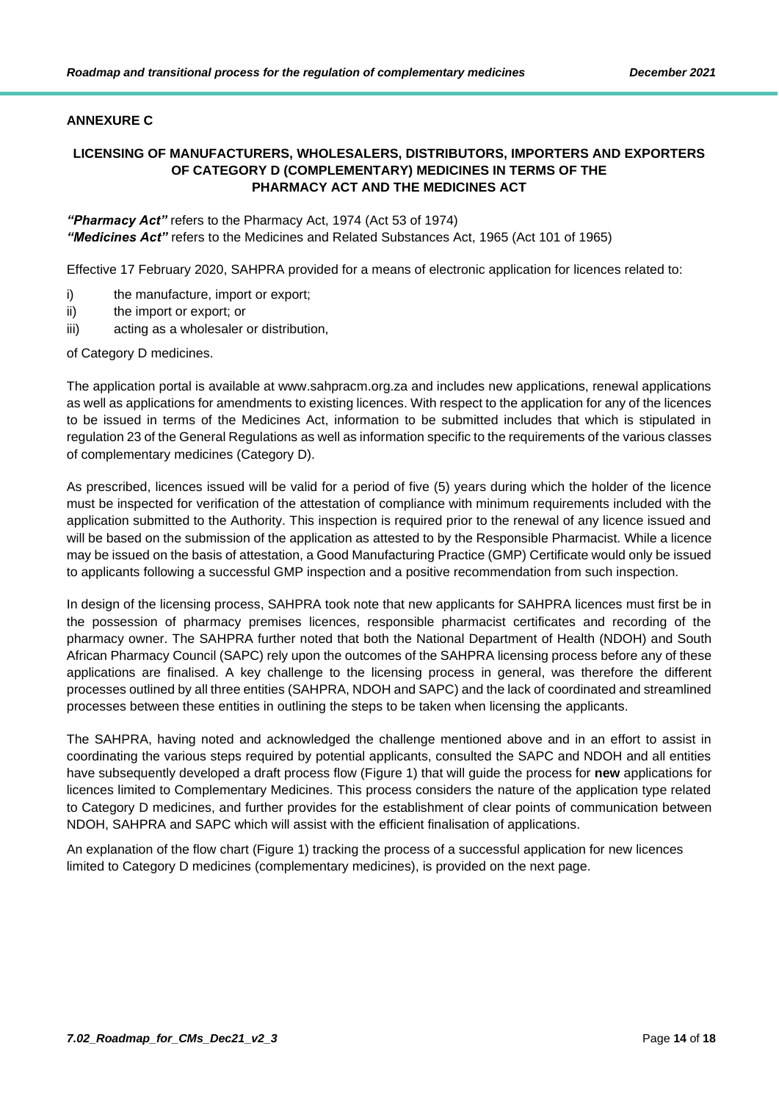## <span id="page-13-0"></span>**ANNEXURE C**

## **LICENSING OF MANUFACTURERS, WHOLESALERS, DISTRIBUTORS, IMPORTERS AND EXPORTERS OF CATEGORY D (COMPLEMENTARY) MEDICINES IN TERMS OF THE PHARMACY ACT AND THE MEDICINES ACT**

*"Pharmacy Act"* refers to the Pharmacy Act, 1974 (Act 53 of 1974) *"Medicines Act"* refers to the Medicines and Related Substances Act, 1965 (Act 101 of 1965)

Effective 17 February 2020, SAHPRA provided for a means of electronic application for licences related to:

- i) the manufacture, import or export;
- ii) the import or export; or
- iii) acting as a wholesaler or distribution,

of Category D medicines.

The application portal is available at www.sahpracm.org.za and includes new applications, renewal applications as well as applications for amendments to existing licences. With respect to the application for any of the licences to be issued in terms of the Medicines Act, information to be submitted includes that which is stipulated in regulation 23 of the General Regulations as well as information specific to the requirements of the various classes of complementary medicines (Category D).

As prescribed, licences issued will be valid for a period of five (5) years during which the holder of the licence must be inspected for verification of the attestation of compliance with minimum requirements included with the application submitted to the Authority. This inspection is required prior to the renewal of any licence issued and will be based on the submission of the application as attested to by the Responsible Pharmacist. While a licence may be issued on the basis of attestation, a Good Manufacturing Practice (GMP) Certificate would only be issued to applicants following a successful GMP inspection and a positive recommendation from such inspection.

In design of the licensing process, SAHPRA took note that new applicants for SAHPRA licences must first be in the possession of pharmacy premises licences, responsible pharmacist certificates and recording of the pharmacy owner. The SAHPRA further noted that both the National Department of Health (NDOH) and South African Pharmacy Council (SAPC) rely upon the outcomes of the SAHPRA licensing process before any of these applications are finalised. A key challenge to the licensing process in general, was therefore the different processes outlined by all three entities (SAHPRA, NDOH and SAPC) and the lack of coordinated and streamlined processes between these entities in outlining the steps to be taken when licensing the applicants.

The SAHPRA, having noted and acknowledged the challenge mentioned above and in an effort to assist in coordinating the various steps required by potential applicants, consulted the SAPC and NDOH and all entities have subsequently developed a draft process flow (Figure 1) that will guide the process for **new** applications for licences limited to Complementary Medicines. This process considers the nature of the application type related to Category D medicines, and further provides for the establishment of clear points of communication between NDOH, SAHPRA and SAPC which will assist with the efficient finalisation of applications.

An explanation of the flow chart (Figure 1) tracking the process of a successful application for new licences limited to Category D medicines (complementary medicines), is provided on the next page.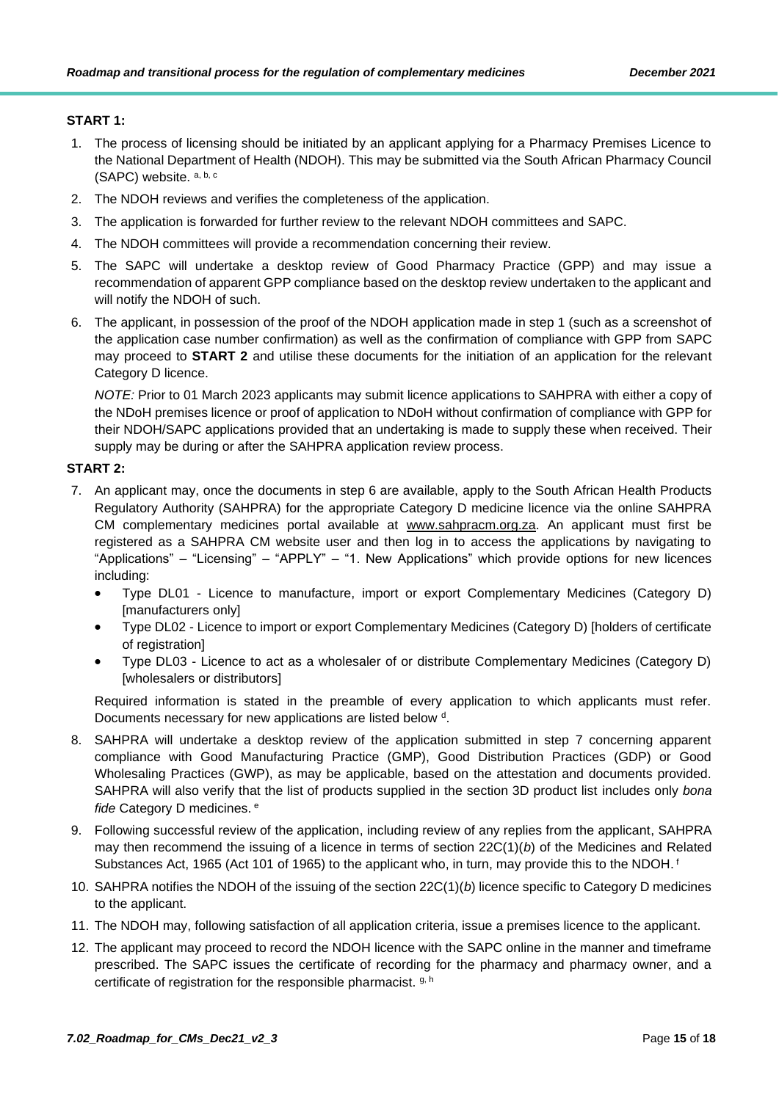## **START 1:**

- 1. The process of licensing should be initiated by an applicant applying for a Pharmacy Premises Licence to the National Department of Health (NDOH). This may be submitted via the South African Pharmacy Council (SAPC) website. a, b, c
- 2. The NDOH reviews and verifies the completeness of the application.
- 3. The application is forwarded for further review to the relevant NDOH committees and SAPC.
- 4. The NDOH committees will provide a recommendation concerning their review.
- 5. The SAPC will undertake a desktop review of Good Pharmacy Practice (GPP) and may issue a recommendation of apparent GPP compliance based on the desktop review undertaken to the applicant and will notify the NDOH of such.
- 6. The applicant, in possession of the proof of the NDOH application made in step 1 (such as a screenshot of the application case number confirmation) as well as the confirmation of compliance with GPP from SAPC may proceed to **START 2** and utilise these documents for the initiation of an application for the relevant Category D licence.

*NOTE:* Prior to 01 March 2023 applicants may submit licence applications to SAHPRA with either a copy of the NDoH premises licence or proof of application to NDoH without confirmation of compliance with GPP for their NDOH/SAPC applications provided that an undertaking is made to supply these when received. Their supply may be during or after the SAHPRA application review process.

## **START 2:**

- 7. An applicant may, once the documents in step 6 are available, apply to the South African Health Products Regulatory Authority (SAHPRA) for the appropriate Category D medicine licence via the online SAHPRA CM complementary medicines portal available at [www.sahpracm.org.za.](http://www.sahpracm.org.za/) An applicant must first be registered as a SAHPRA CM website user and then log in to access the applications by navigating to "Applications" – "Licensing" – "APPLY" – "1. New Applications" which provide options for new licences including:
	- Type DL01 Licence to manufacture, import or export Complementary Medicines (Category D) [manufacturers only]
	- Type DL02 Licence to import or export Complementary Medicines (Category D) [holders of certificate of registration]
	- Type DL03 Licence to act as a wholesaler of or distribute Complementary Medicines (Category D) [wholesalers or distributors]

Required information is stated in the preamble of every application to which applicants must refer. Documents necessary for new applications are listed below d.

- 8. SAHPRA will undertake a desktop review of the application submitted in step 7 concerning apparent compliance with Good Manufacturing Practice (GMP), Good Distribution Practices (GDP) or Good Wholesaling Practices (GWP), as may be applicable, based on the attestation and documents provided. SAHPRA will also verify that the list of products supplied in the section 3D product list includes only *bona fide* Category D medicines. <sup>e</sup>
- 9. Following successful review of the application, including review of any replies from the applicant, SAHPRA may then recommend the issuing of a licence in terms of section 22C(1)(*b*) of the Medicines and Related Substances Act, 1965 (Act 101 of 1965) to the applicant who, in turn, may provide this to the NDOH.<sup>f</sup>
- 10. SAHPRA notifies the NDOH of the issuing of the section 22C(1)(*b*) licence specific to Category D medicines to the applicant.
- 11. The NDOH may, following satisfaction of all application criteria, issue a premises licence to the applicant.
- 12. The applicant may proceed to record the NDOH licence with the SAPC online in the manner and timeframe prescribed. The SAPC issues the certificate of recording for the pharmacy and pharmacy owner, and a certificate of registration for the responsible pharmacist. g, h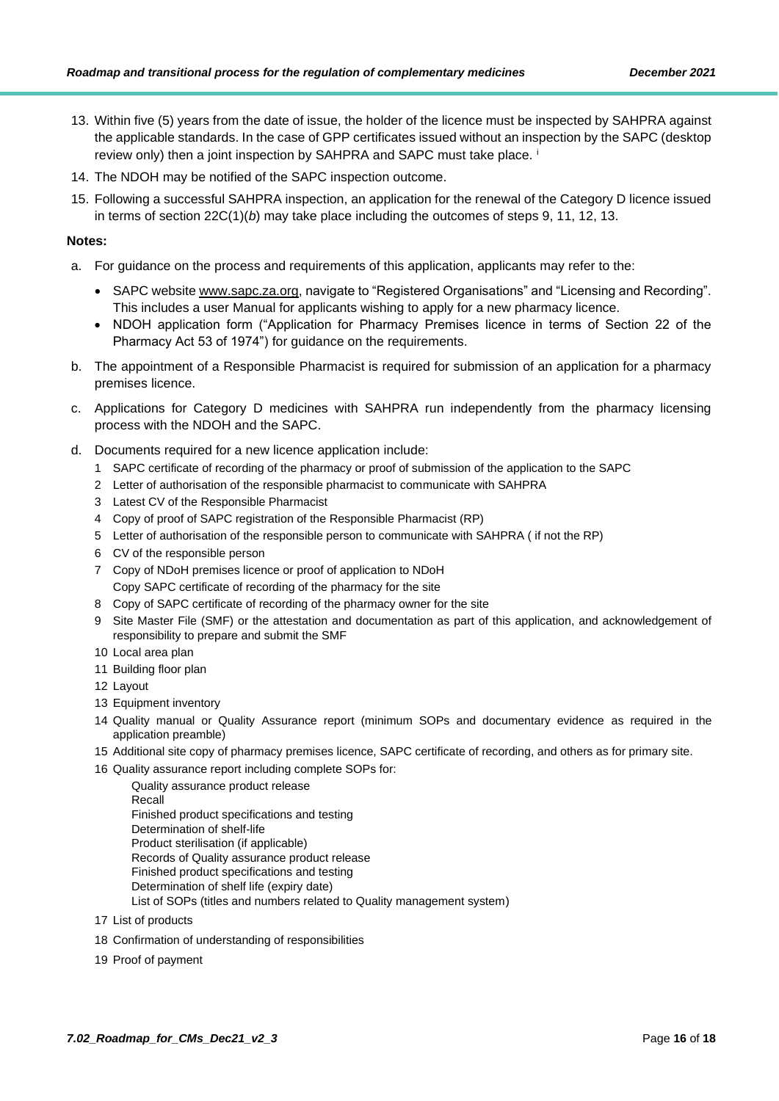- 13. Within five (5) years from the date of issue, the holder of the licence must be inspected by SAHPRA against the applicable standards. In the case of GPP certificates issued without an inspection by the SAPC (desktop review only) then a joint inspection by SAHPRA and SAPC must take place.<sup>i</sup>
- 14. The NDOH may be notified of the SAPC inspection outcome.
- 15. Following a successful SAHPRA inspection, an application for the renewal of the Category D licence issued in terms of section 22C(1)(*b*) may take place including the outcomes of steps 9, 11, 12, 13.

#### **Notes:**

- a. For guidance on the process and requirements of this application, applicants may refer to the:
	- SAPC website [www.sapc.za.org,](http://www.sapc.za.org/) navigate to "Registered Organisations" and "Licensing and Recording". This includes a user Manual for applicants wishing to apply for a new pharmacy licence.
	- NDOH application form ("Application for Pharmacy Premises licence in terms of Section 22 of the Pharmacy Act 53 of 1974") for guidance on the requirements.
- b. The appointment of a Responsible Pharmacist is required for submission of an application for a pharmacy premises licence.
- c. Applications for Category D medicines with SAHPRA run independently from the pharmacy licensing process with the NDOH and the SAPC.
- d. Documents required for a new licence application include:
	- 1 SAPC certificate of recording of the pharmacy or proof of submission of the application to the SAPC
	- 2 Letter of authorisation of the responsible pharmacist to communicate with SAHPRA
	- 3 Latest CV of the Responsible Pharmacist
	- 4 Copy of proof of SAPC registration of the Responsible Pharmacist (RP)
	- 5 Letter of authorisation of the responsible person to communicate with SAHPRA ( if not the RP)
	- 6 CV of the responsible person
	- 7 Copy of NDoH premises licence or proof of application to NDoH Copy SAPC certificate of recording of the pharmacy for the site
	- 8 Copy of SAPC certificate of recording of the pharmacy owner for the site
	- 9 Site Master File (SMF) or the attestation and documentation as part of this application, and acknowledgement of responsibility to prepare and submit the SMF
	- 10 Local area plan
	- 11 Building floor plan
	- 12 Layout
	- 13 Equipment inventory
	- 14 Quality manual or Quality Assurance report (minimum SOPs and documentary evidence as required in the application preamble)
	- 15 Additional site copy of pharmacy premises licence, SAPC certificate of recording, and others as for primary site.
	- 16 Quality assurance report including complete SOPs for:
		- Quality assurance product release Recall Finished product specifications and testing Determination of shelf-life Product sterilisation (if applicable) Records of Quality assurance product release Finished product specifications and testing Determination of shelf life (expiry date) List of SOPs (titles and numbers related to Quality management system)
	- 17 List of products
	- 18 Confirmation of understanding of responsibilities
	- 19 Proof of payment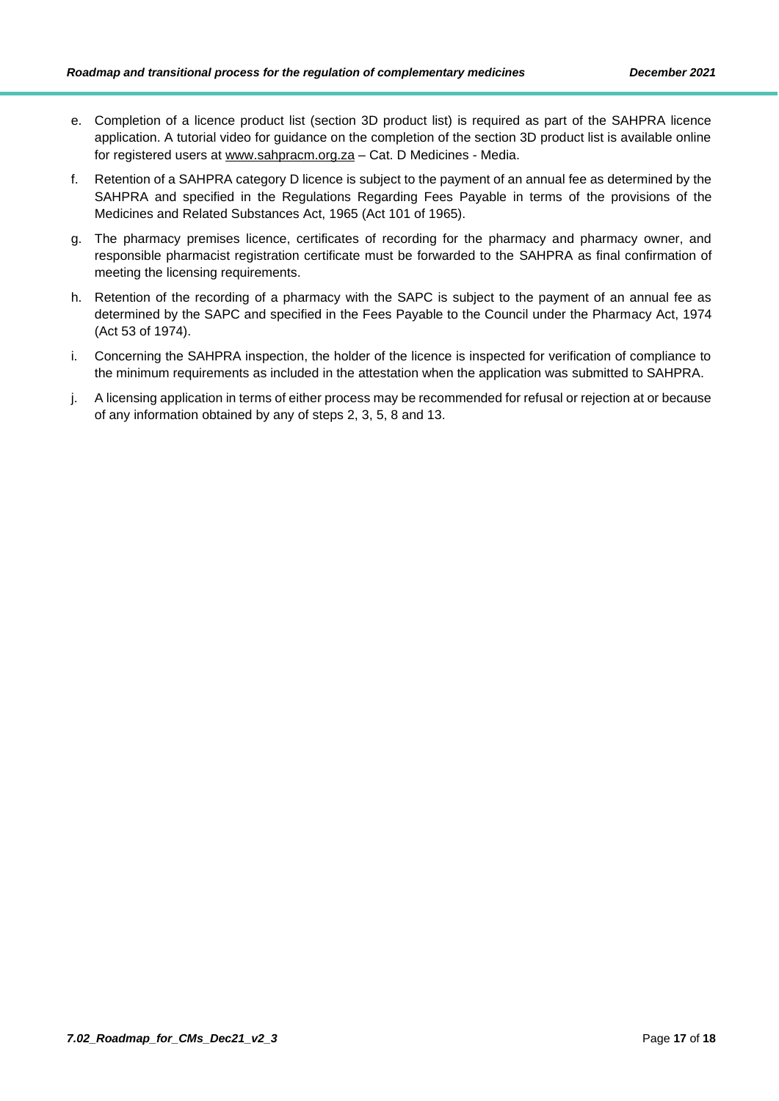- e. Completion of a licence product list (section 3D product list) is required as part of the SAHPRA licence application. A tutorial video for guidance on the completion of the section 3D product list is available online for registered users at [www.sahpracm.org.za](http://www.sahpracm.org.za/) – Cat. D Medicines - Media.
- f. Retention of a SAHPRA category D licence is subject to the payment of an annual fee as determined by the SAHPRA and specified in the Regulations Regarding Fees Payable in terms of the provisions of the Medicines and Related Substances Act, 1965 (Act 101 of 1965).
- g. The pharmacy premises licence, certificates of recording for the pharmacy and pharmacy owner, and responsible pharmacist registration certificate must be forwarded to the SAHPRA as final confirmation of meeting the licensing requirements.
- h. Retention of the recording of a pharmacy with the SAPC is subject to the payment of an annual fee as determined by the SAPC and specified in the Fees Payable to the Council under the Pharmacy Act, 1974 (Act 53 of 1974).
- i. Concerning the SAHPRA inspection, the holder of the licence is inspected for verification of compliance to the minimum requirements as included in the attestation when the application was submitted to SAHPRA.
- j. A licensing application in terms of either process may be recommended for refusal or rejection at or because of any information obtained by any of steps 2, 3, 5, 8 and 13.